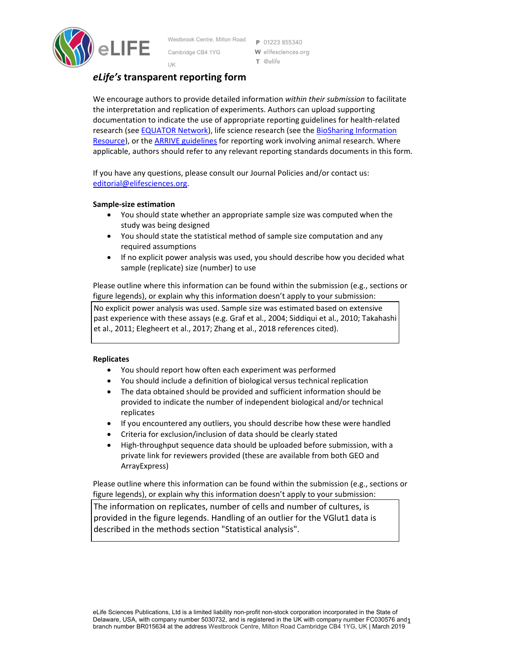

Westbrook Centre, Milton Road Cambridge CB4 1YG UK

P 01223 855340 W elifesciences.org T @elife

# *eLife's* **transparent reporting form**

We encourage authors to provide detailed information *within their submission* to facilitate the interpretation and replication of experiments. Authors can upload supporting documentation to indicate the use of appropriate reporting guidelines for health‐related research (see **EQUATOR Network**), life science research (see the **BioSharing Information** Resource), or the ARRIVE guidelines for reporting work involving animal research. Where applicable, authors should refer to any relevant reporting standards documents in this form.

If you have any questions, please consult our Journal Policies and/or contact us: editorial@elifesciences.org.

# **Sample‐size estimation**

- You should state whether an appropriate sample size was computed when the study was being designed
- You should state the statistical method of sample size computation and any required assumptions
- If no explicit power analysis was used, you should describe how you decided what sample (replicate) size (number) to use

Please outline where this information can be found within the submission (e.g., sections or figure legends), or explain why this information doesn't apply to your submission:

No explicit power analysis was used. Sample size was estimated based on extensive past experience with these assays (e.g. Graf et al., 2004; Siddiqui et al., 2010; Takahashi et al., 2011; Elegheert et al., 2017; Zhang et al., 2018 references cited).

## **Replicates**

- You should report how often each experiment was performed
- You should include a definition of biological versus technical replication
- The data obtained should be provided and sufficient information should be provided to indicate the number of independent biological and/or technical replicates
- If you encountered any outliers, you should describe how these were handled
- Criteria for exclusion/inclusion of data should be clearly stated
- High-throughput sequence data should be uploaded before submission, with a private link for reviewers provided (these are available from both GEO and ArrayExpress)

Please outline where this information can be found within the submission (e.g., sections or figure legends), or explain why this information doesn't apply to your submission:

The information on replicates, number of cells and number of cultures, is provided in the figure legends. Handling of an outlier for the VGlut1 data is described in the methods section "Statistical analysis".